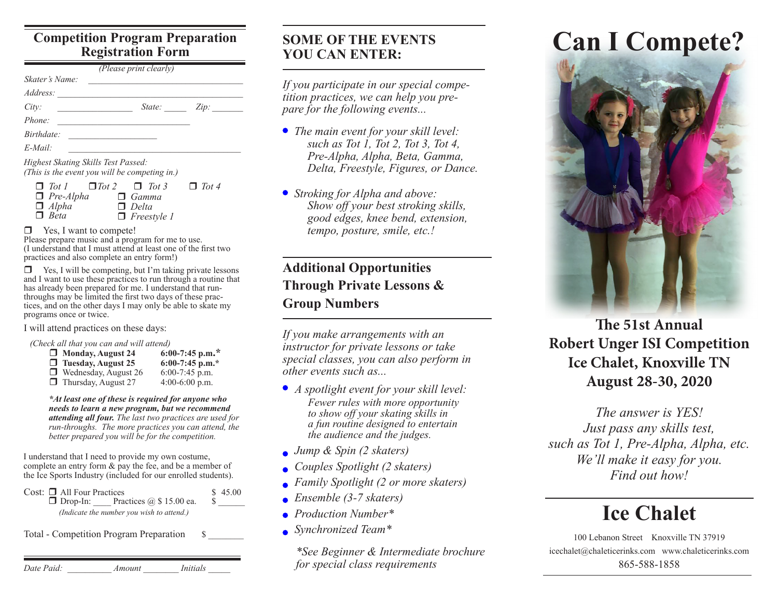#### **Competition Program Preparation Registration Form**

| Address:   |        |      |
|------------|--------|------|
| City:      | State: | Zip: |
| Phone:     |        |      |
| Birthdate: |        |      |
| $E$ -Mail: |        |      |

| $\Box$ Tot $\Box$ Tot $2 \Box$ Tot 3 |                    | $\Box$ Tot 4 |
|--------------------------------------|--------------------|--------------|
| $\Box$ Pre-Alpha                     | $\Box$ Gamma       |              |
| $\Box$ Alpha                         | $\Box$ Delta       |              |
| $\Box$ Beta                          | $\Box$ Freestyle 1 |              |

□ Yes, I want to compete!

Please prepare music and a program for me to use. (I understand that I must attend at least one of the first two practices and also complete an entry form!)

 $\Box$  Yes, I will be competing, but I'm taking private lessons and I want to use these practices to run through a routine that has already been prepared for me. I understand that runthroughs may be limited the first two days of these practices, and on the other days I may only be able to skate my programs once or twice.

I will attend practices on these days:

*(Check all that you can and will attend)*

| Monday, August 24           | 6:00-7:45 p.m.*   |
|-----------------------------|-------------------|
| $\Box$ Tuesday, August 25   | $6:00-7:45$ p.m.* |
| $\Box$ Wednesday, August 26 | $6:00-7:45$ p.m.  |
| $\Box$ Thursday, August 27  | $4:00-6:00$ p.m.  |

*\*At least one of these is required for anyone who needs to learn a new program, but we recommend attending all four. The last two practices are used for run-throughs. The more practices you can attend, the better prepared you will be for the competition.*

I understand that I need to provide my own costume, complete an entry form & pay the fee, and be a member of the Ice Sports Industry (included for our enrolled students).

Cost:  $\Box$  All Four Practices  $$ 45.00$ <br> $\Box$  Drop-In: Practices  $@ 15.00$  ea. \;  $\Box$  Drop-In: Practices  $\ddot{\omega}$  \$ 15.00 ea. *(Indicate the number you wish to attend.)*

Total - Competition Program Preparation  $\$\$ 

| Date Paid: | Amount | <i>Initials</i> |  |
|------------|--------|-----------------|--|
|            |        |                 |  |

#### **SOME OF THE EVENTS YOU CAN ENTER:**

*If you participate in our special competition practices, we can help you prepare for the following events...*

- *The main event for your skill level: such as Tot 1, Tot 2, Tot 3, Tot 4, Pre-Alpha, Alpha, Beta, Gamma, Delta, Freestyle, Figures, or Dance.*
- *Stroking for Alpha and above: Show off your best stroking skills, good edges, knee bend, extension, tempo, posture, smile, etc.!*

## **Additional Opportunities Through Private Lessons & Group Numbers**

*If you make arrangements with an instructor for private lessons or take special classes, you can also perform in other events such as...*

- *A spotlight event for your skill level: Fewer rules with more opportunity to show off your skating skills in a fun routine designed to entertain the audience and the judges.*
- *Jump & Spin (2 skaters)*
- *Couples Spotlight (2 skaters)*
- *Family Spotlight (2 or more skaters)*
- *Ensemble (3-7 skaters)*
- *Production Number\**
- *Synchronized Team\**

*\*See Beginner & Intermediate brochure for special class requirements*

# **Can I Compete?**



**The 51st Annual Robert Unger ISI Competition Ice Chalet, Knoxville TN August 28-30, 2020**

*The answer is YES! Just pass any skills test, such as Tot 1, Pre-Alpha, Alpha, etc. We'll make it easy for you. Find out how!*

## **Ice Chalet**

100 Lebanon Street Knoxville TN 37919 icechalet@chaleticerinks.com www.chaleticerinks.com 865-588-1858